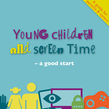# Young child*r*en *a*nd scree*n* Time

parents de Fors

**– a good start**

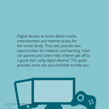Digital devices at home deliver media, entertainment and internet access for the whole family. They also provide new opportunities for creativity and learning. How can parents and carers help children get off to a good start using digital devices? This guide provides some tips and checklists to help you.

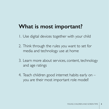## **What is most important?**

- 1. Use digital devices together with your child
- 2. Think through the rules you want to set for media and technology use at home
- 3. Learn more about services, content, technology and age ratings
- 4. Teach children good internet habits early on you are their most important role model!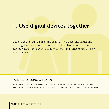## **1. Use digital devices together**

Get involved in your child's online activities. Have fun, play games and learn together online, just as you would in the physical world. It will then be natural for your child to turn to you if they experience anything upsetting online.

#### TALKING TO YOUNG CHILDREN

Young children might not understand concepts such as *'the internet'.* Can you explain issues in an ageappropriate way, using examples from daily life? For example, we don't talk to strangers in the park or online.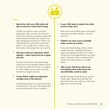

**1. 1. 1. 1. Use of the Spend time with your child online and take an interest in what they're doing. take an interest in what they're doing.** 

> Children can benefit in many ways from being online. They can learn new skills, find information, follow their interests, socialise with friends, express themselves, be creative, help other people, play and have fun. What is your child interested in online? (And what bores them?) Can you help them to interact with their online world, and get the most out of it?

**• Talk about what you experience online together – what is good and not so good, and why.** 

If parents only talk about the risks of being online (and not the benefits), children may be less likely to confide when there is a problem. For older children, ask how their use of the internet has changed over time.

**• Young children might not understand concepts such as 'the internet'.** 

Use age-appropriate ways to talk about being online and risks. Help your child consider that not everything online is true or authentic.

#### **• Is your child ready to explore the online world on their own?**

Keep up the conversations about what they're doing and who they're talking to. Let them show you.

#### **• Children can come across unsuitable online content by accident.**

This could include bullying, violence, animal cruelty, extremism, misleading information, bigotry, pornography and all forms of abuse. Things that some people find funny can upset others. Help your child to understand how one person's online behaviour can affect others.

#### **• Talk to your child about what to do if something online makes them feel uncomfortable, scared or upset.**

Be clear that they should tell you or another trusted adult. Talking about potential risks before they occur may make your child more likely to turn to you for help.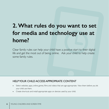## **2. What rules do you want to set for media and technology use at home?**

Clear family rules can help your child have a positive start to their digital life and get the most out of being online. Ask your child to help create some family rules.

#### HELP YOUR CHILD ACCESS APPROPRIATE CONTENT

- Select websites, apps, online games, films and videos that are age-appropriate. View them before you let your child use them.
- Create shortcuts and install appropriate apps on devices used by your child.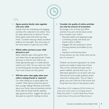

**• Agree positive family rules together with your child.** 

Include which fun, interesting and engaging activities s/he is allowed to do online. How do adults spend time on devices? Can the family agree screen-free times e.g. meal times? Consider reducing media use before bedtime and overnight. Are some areas of the home easier to supervise your child?

#### **• Which online services is your child allowed to use?**

Select websites, apps, online games, films and videos that are age-appropriate. Create shortcuts or links for your child to use. Install appropriate apps on mobile devices used by your child. Do you want your child to download games and apps themselves? How much money can they spend?

#### **• Will the same rules apply when your child is visiting friends or relatives?**

Can older siblings act as good digital role models? What advice would they give to their younger siblings? Tell family and friends about your family rules and parental controls. Share ideas for family-friendly websites, apps, games and films. Suggest the topic be discussed at a parent's meeting at school.

**• Consider the quality of online activities not only the amount of screentime.** 

Encourage a mix of online and offline activities. If you are worried about screen time, consider if your child is:

- Physically healthy and sleeping enough
- Connecting socially with family and friends online or offline
- Engaged with and achieving in school
- Pursuing interests and hobbies (in any form)
- Having fun and learning online

If most answers are 'yes', screen time may be less of a concern.\*

Children can become engrossed in an online activity and unable to keep track of time. They can be confused and upset when a parent suddenly says the time is up. An alternative approach is to sit down with your child and ask some simple questions about what s/he is doing online. This can help to gently coax your child out of the activity and bring their focus back to the physical world.

\* Blum-Ross, A. & S. Livingstone (2016) *Families and screen time: Current advice and emerging research.*  Media Policy Brief 17. London: Media Policy Project, London School of Economics & Political Science.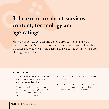## **3. Learn more about services, content, technology and age ratings**

Many digital devices, services and content providers offer a range of parental controls. You can choose the type of content and options that are suitable for your child. Test different settings to get things right before allowing your child access.

#### PASSWORDS

- A password is like a house key it unlocks services, apps and games, the ability to spend money and to socialise online.
- Passwords should be easy to remember, but difficult to guess. For example, they could be a song or a sentence including numbers, symbols, upper and lower case letters.
- Teach your child not to share passwords with anyone.
- Could your password unlock inappropriate content? Consider the implications before sharing a password with your child.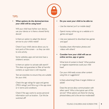

**• What options do the devices/services your child will be using have?**

Will your child have his/her own device, use your device or is there a shared family device?

Is there an option to adapt the device/ service to your child's needs?

Check if your child's device allows you to lock parts of the screen – so they can stick to one activity.

Some websites, apps and services have a children's version.

Is there an option to activate safe search? This does not guarantee to filter all harmful content, so supervision is still required.

Test services/sites to ensure they are suitable for your child.

Check the age ratings for apps and games ('PEGI ratings') and films e.g. in the app store or in terms and conditions.

Check if the app wants to access personal information such as location. Can this be switched off?

- **• Do you want your child to be able to:**
	- Use the internet (wi-fi or mobile data)?
	- Spend money online e.g. on a website or in games and apps?
	- Use your password to download new games and apps?
	- Socialise, share information, photos and videos with others?
- **• Consider how your child will use an online service, app or game:**

What kind of content is there? What positive or negative experiences could your child have?

Can your child easily access other content using links or suggestions?

Is there advertising? Does it target children or adults?

Does the service allow communication with other users? Who is the typical user of this service? What options are there for sharing photos/videos, and is the service moderated?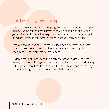### Purchases in games and apps

In many games and apps, you can progress faster in the game if you spend money. Some games allow players to gamble or trade as part of the game. This could be real money or it could be virtual money, stars, gold bars, useful items in the game, or other things you earn by playing.

Free games, apps and services may get income from showing adverts. They may sell personal information to advertisers. They may also encourage users to buy new games or apps.

Children may not understand the difference between virtual and real money in games. Many games are so intuitive that children spend money in the game without the help of an adult. They could spend real money without realising it or their parents/carers being aware.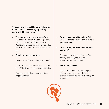**You can restrict the ability to spend money on most mobile devices e.g. by setting a password. Here are some tips:**

• **The app store will usually state if you can spend money in the app** (e.g. 'Offers in-app purchases') and show a price list. Read this before deciding whether your child will have permission to spend money in the app.

#### • **Check your device settings:**

Can you set restrictions on in-app purchases?

Do you want to allow purchases for a limited time? What timeframe does your device offer?

Can you set restrictions on purchases from shopping websites?

- **Do you want your child to have full access to buying services and making inapp purchases?**
- **Do you want your child to know your password?**

Do you want him/her to ask you before installing new apps, games or other password-protected content?

• **Talk about gambling**

Ask your child about how they progress when playing a game game. Is there pressure to spend real or virtual money, or to gamble?

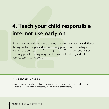## **4. Teach your child responsible internet use early on**

Both adults and children enjoy sharing moments with family and friends through online images and videos. Taking photos and recording video with mobile devices is fun for young people. There have been cases of young people sharing images online without realising and without parents/carers being aware.

#### ASK BEFORE SHARING

Always ask permission before sharing or tagging a photo of someone else (adult or child) online. Your child will learn from you that they should ask first before sharing.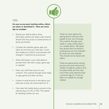

**As soon as you post** *anything* **online, others can share or download it. Here are some tips to consider:**

- Should your child be able to share information, photos and videos (with whom)? Should s/he have access to shared photos of family and friends?
- Consider the websites, games, apps and other services that your child uses. Could they enable your child to communicate with strangers? Could this be anonymous?
- What information is your child asked to provide when s/he starts using a game, app or website?
- Does your child have access to your contacts? This could be through social media or apps, games and other services.
- Is there an email account on the device your child uses, so they can send emails from it?
- How does the mobile device connect to the internet (e.g. wi-fi, 3G or 4G)? The options for blocking content can vary.

There are many options for sharing photos with just a few people of your own choosing. This could be through social media or using a photo album on a mobile device. Talk about how photos that are shared in closed groups are only intended for those you have selected. They should not be shared with others.

There are special photo sharing services and social networks for children. It might be useful to find out about these and how they work. Most social networks have a minimum age of 13, and are often not suitable for younger children.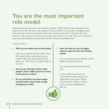## **You are the most important role model**

Adults are the most important role models for children. Children listen to how adults talk to each other and how they talk about other people. They pay attention to how adults use digital devices, when and how much time they spend online and what they share online. They may mimic this behaviour. This is why you are the most important role model to your child. Talk to your child about your own online behaviour and help them decide to behave responsibly online.

#### THINK ABOUT:

**• Who you are online and on social media**

How do you present yourself online? What information, photos and videos have you shared? What have other people shared about you? What does your digital footprint look like?

- **• How do you talk about and to other people? Does it differ if you're at home, on the phone or online?**
- **• Do you ask before you share images and information about other people, including your child?**

#### **• How and when do you use digital devices to get the most out of being online?**

Do you have the same or different rules for adults and children at home?

Do you have 'screen free' times of the day?

It can be difficult for children to understand that adults need to use digital devices even when children are not allowed. Setting out family rules can reduce disagreements later on.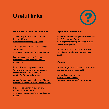## **Useful links**



#### **Guidance and tools for families**

Advice for parents from the UK Safer Internet Centre: *[www.saferinternet.org.uk/parents](https://www.saferinternet.org.uk/parents)*

Advice on screen time from Common Sense Media: *[www.commonsensemedia.org/screen-time](https://www.commonsensemedia.org/screen-time)*

Family agreement from Childnet: *[www.childnet.com/resources/family](http://www.childnet.com/resources/family-agreement)[agreement](http://www.childnet.com/resources/family-agreement)*

Digital 5-a-day campaign from the Children's Commissioner for England: *[www.childrenscommissioner.gov.](https://www.childrenscommissioner.gov.uk/2017/08/06/digital-5-a-day) [uk/2017/08/06/digital-5-a-day](https://www.childrenscommissioner.gov.uk/2017/08/06/digital-5-a-day)*

Advice for parents from Internet Matters: *[www.internetmatters.org/parental-controls](https://www.internetmatters.org/parental-controls)*

Device Free Dinner initiative from Comment Sense Media: *[www.commonsensemedia.org/device-free](https://www.commonsensemedia.org/device-free-dinner)[dinner](https://www.commonsensemedia.org/device-free-dinner)*

#### **Apps and social media**

Guides to social media platforms from the UK Safer Internet Centre: *[www.saferinternet.org.uk/advice-centre/](https://www.saferinternet.org.uk/advice-centre/social-media-guides) [social-media-guides](https://www.saferinternet.org.uk/advice-centre/social-media-guides)*

Advice on apps from Internet Matters: *[www.internetmatters.org/advice/apps](https://www.internetmatters.org/advice/apps-guide)[guide](https://www.internetmatters.org/advice/apps-guide)*

#### **Games**

Advice on games and how to check if they are appropriate for your child:

*[www.askaboutgames.com](http://www.askaboutgames.com) [www.pegi.info/en/](http://www.pegi.info/en/index)index [www.commonsensemedia.org/reviews](https://www.commonsensemedia.org/reviews)*